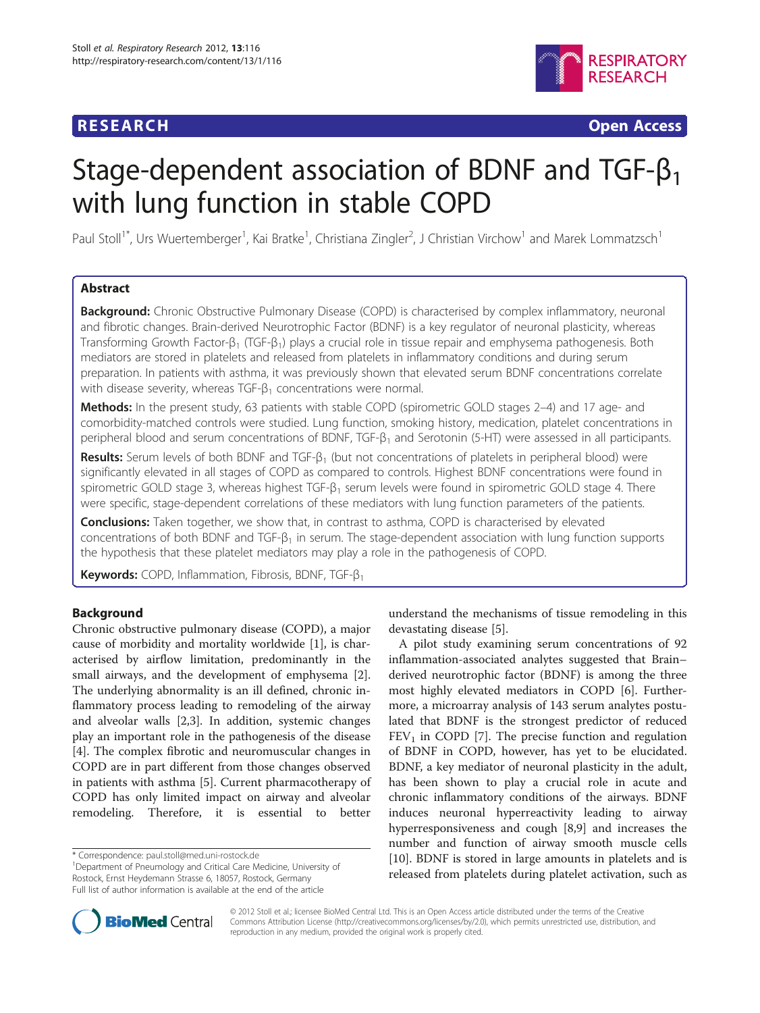## **RESEARCH RESEARCH** *CHECK CHECK CHECK CHECK CHECK CHECK CHECK CHECK CHECK CHECK CHECK CHECK CHECK CHECK CHECK CHECK CHECK CHECK CHECK CHECK CHECK CHECK CHECK CHECK CHECK CHECK CHECK CHECK CHECK CHECK CHECK CHECK CHECK*



# Stage-dependent association of BDNF and TGF- $\beta_1$ with lung function in stable COPD

Paul Stoll<sup>1\*</sup>, Urs Wuertemberger<sup>1</sup>, Kai Bratke<sup>1</sup>, Christiana Zingler<sup>2</sup>, J Christian Virchow<sup>1</sup> and Marek Lommatzsch<sup>1</sup>

## Abstract

Background: Chronic Obstructive Pulmonary Disease (COPD) is characterised by complex inflammatory, neuronal and fibrotic changes. Brain-derived Neurotrophic Factor (BDNF) is a key regulator of neuronal plasticity, whereas Transforming Growth Factor-β<sub>1</sub> (TGF-β<sub>1</sub>) plays a crucial role in tissue repair and emphysema pathogenesis. Both mediators are stored in platelets and released from platelets in inflammatory conditions and during serum preparation. In patients with asthma, it was previously shown that elevated serum BDNF concentrations correlate with disease severity, whereas TGF- $\beta_1$  concentrations were normal.

Methods: In the present study, 63 patients with stable COPD (spirometric GOLD stages 2-4) and 17 age- and comorbidity-matched controls were studied. Lung function, smoking history, medication, platelet concentrations in peripheral blood and serum concentrations of BDNF, TGF-β<sup>1</sup> and Serotonin (5-HT) were assessed in all participants.

**Results:** Serum levels of both BDNF and TGF- $\beta_1$  (but not concentrations of platelets in peripheral blood) were significantly elevated in all stages of COPD as compared to controls. Highest BDNF concentrations were found in spirometric GOLD stage 3, whereas highest TGF- $\beta_1$  serum levels were found in spirometric GOLD stage 4. There were specific, stage-dependent correlations of these mediators with lung function parameters of the patients.

**Conclusions:** Taken together, we show that, in contrast to asthma, COPD is characterised by elevated concentrations of both BDNF and TGF- $\beta_1$  in serum. The stage-dependent association with lung function supports the hypothesis that these platelet mediators may play a role in the pathogenesis of COPD.

Keywords: COPD, Inflammation, Fibrosis, BDNF, TGF-β<sub>1</sub>

## Background

Chronic obstructive pulmonary disease (COPD), a major cause of morbidity and mortality worldwide [[1\]](#page-8-0), is characterised by airflow limitation, predominantly in the small airways, and the development of emphysema [\[2](#page-8-0)]. The underlying abnormality is an ill defined, chronic inflammatory process leading to remodeling of the airway and alveolar walls [[2,3\]](#page-8-0). In addition, systemic changes play an important role in the pathogenesis of the disease [[4\]](#page-8-0). The complex fibrotic and neuromuscular changes in COPD are in part different from those changes observed in patients with asthma [[5](#page-8-0)]. Current pharmacotherapy of COPD has only limited impact on airway and alveolar remodeling. Therefore, it is essential to better

\* Correspondence: [paul.stoll@med.uni-rostock.de](mailto:paul.stoll@med.uni-rostock.de) <sup>1</sup>

<sup>1</sup>Department of Pneumology and Critical Care Medicine, University of Rostock, Ernst Heydemann Strasse 6, 18057, Rostock, Germany Full list of author information is available at the end of the article

understand the mechanisms of tissue remodeling in this devastating disease [\[5](#page-8-0)].

A pilot study examining serum concentrations of 92 inflammation-associated analytes suggested that Brain– derived neurotrophic factor (BDNF) is among the three most highly elevated mediators in COPD [[6\]](#page-8-0). Furthermore, a microarray analysis of 143 serum analytes postulated that BDNF is the strongest predictor of reduced  $FEV<sub>1</sub>$  in COPD [[7\]](#page-8-0). The precise function and regulation of BDNF in COPD, however, has yet to be elucidated. BDNF, a key mediator of neuronal plasticity in the adult, has been shown to play a crucial role in acute and chronic inflammatory conditions of the airways. BDNF induces neuronal hyperreactivity leading to airway hyperresponsiveness and cough [[8,9\]](#page-8-0) and increases the number and function of airway smooth muscle cells [[10\]](#page-8-0). BDNF is stored in large amounts in platelets and is released from platelets during platelet activation, such as



© 2012 Stoll et al.; licensee BioMed Central Ltd. This is an Open Access article distributed under the terms of the Creative Commons Attribution License [\(http://creativecommons.org/licenses/by/2.0\)](http://creativecommons.org/licenses/by/2.0), which permits unrestricted use, distribution, and reproduction in any medium, provided the original work is properly cited.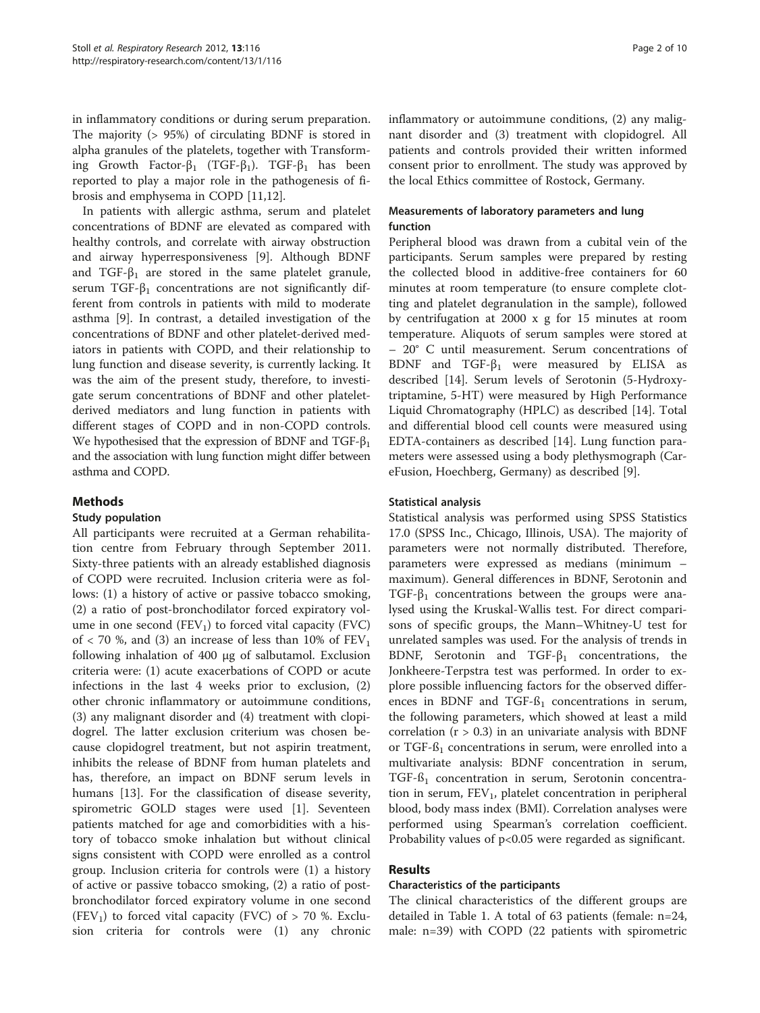in inflammatory conditions or during serum preparation. The majority (> 95%) of circulating BDNF is stored in alpha granules of the platelets, together with Transforming Growth Factor-β<sub>1</sub> (TGF-β<sub>1</sub>). TGF-β<sub>1</sub> has been reported to play a major role in the pathogenesis of fibrosis and emphysema in COPD [[11,](#page-8-0)[12\]](#page-9-0).

In patients with allergic asthma, serum and platelet concentrations of BDNF are elevated as compared with healthy controls, and correlate with airway obstruction and airway hyperresponsiveness [[9](#page-8-0)]. Although BDNF and TGF- $\beta_1$  are stored in the same platelet granule, serum TGF- $\beta_1$  concentrations are not significantly different from controls in patients with mild to moderate asthma [[9\]](#page-8-0). In contrast, a detailed investigation of the concentrations of BDNF and other platelet-derived mediators in patients with COPD, and their relationship to lung function and disease severity, is currently lacking. It was the aim of the present study, therefore, to investigate serum concentrations of BDNF and other plateletderived mediators and lung function in patients with different stages of COPD and in non-COPD controls. We hypothesised that the expression of BDNF and TGF- $\beta_1$ and the association with lung function might differ between asthma and COPD.

### Methods

#### Study population

All participants were recruited at a German rehabilitation centre from February through September 2011. Sixty-three patients with an already established diagnosis of COPD were recruited. Inclusion criteria were as follows: (1) a history of active or passive tobacco smoking, (2) a ratio of post-bronchodilator forced expiratory volume in one second  $(FEV_1)$  to forced vital capacity  $(FVC)$ of  $<$  70 %, and (3) an increase of less than 10% of  $FEV<sub>1</sub>$ following inhalation of 400 μg of salbutamol. Exclusion criteria were: (1) acute exacerbations of COPD or acute infections in the last 4 weeks prior to exclusion, (2) other chronic inflammatory or autoimmune conditions, (3) any malignant disorder and (4) treatment with clopidogrel. The latter exclusion criterium was chosen because clopidogrel treatment, but not aspirin treatment, inhibits the release of BDNF from human platelets and has, therefore, an impact on BDNF serum levels in humans [\[13](#page-9-0)]. For the classification of disease severity, spirometric GOLD stages were used [[1\]](#page-8-0). Seventeen patients matched for age and comorbidities with a history of tobacco smoke inhalation but without clinical signs consistent with COPD were enrolled as a control group. Inclusion criteria for controls were (1) a history of active or passive tobacco smoking, (2) a ratio of postbronchodilator forced expiratory volume in one second  $(FEV<sub>1</sub>)$  to forced vital capacity (FVC) of > 70 %. Exclusion criteria for controls were (1) any chronic inflammatory or autoimmune conditions, (2) any malignant disorder and (3) treatment with clopidogrel. All patients and controls provided their written informed consent prior to enrollment. The study was approved by the local Ethics committee of Rostock, Germany.

## Measurements of laboratory parameters and lung function

Peripheral blood was drawn from a cubital vein of the participants. Serum samples were prepared by resting the collected blood in additive-free containers for 60 minutes at room temperature (to ensure complete clotting and platelet degranulation in the sample), followed by centrifugation at 2000 x g for 15 minutes at room temperature. Aliquots of serum samples were stored at – 20° C until measurement. Serum concentrations of BDNF and TGF- $β_1$  were measured by ELISA as described [[14](#page-9-0)]. Serum levels of Serotonin (5-Hydroxytriptamine, 5-HT) were measured by High Performance Liquid Chromatography (HPLC) as described [\[14](#page-9-0)]. Total and differential blood cell counts were measured using EDTA-containers as described [[14](#page-9-0)]. Lung function parameters were assessed using a body plethysmograph (CareFusion, Hoechberg, Germany) as described [[9](#page-8-0)].

#### Statistical analysis

Statistical analysis was performed using SPSS Statistics 17.0 (SPSS Inc., Chicago, Illinois, USA). The majority of parameters were not normally distributed. Therefore, parameters were expressed as medians (minimum – maximum). General differences in BDNF, Serotonin and TGF- $\beta_1$  concentrations between the groups were analysed using the Kruskal-Wallis test. For direct comparisons of specific groups, the Mann–Whitney-U test for unrelated samples was used. For the analysis of trends in BDNF, Serotonin and TGF- $\beta_1$  concentrations, the Jonkheere-Terpstra test was performed. In order to explore possible influencing factors for the observed differences in BDNF and TGF- $\beta_1$  concentrations in serum, the following parameters, which showed at least a mild correlation  $(r > 0.3)$  in an univariate analysis with BDNF or TGF- $\beta_1$  concentrations in serum, were enrolled into a multivariate analysis: BDNF concentration in serum,  $TGF-<sub>1</sub>$  concentration in serum, Serotonin concentration in serum,  $FEV_1$ , platelet concentration in peripheral blood, body mass index (BMI). Correlation analyses were performed using Spearman's correlation coefficient. Probability values of p<0.05 were regarded as significant.

## Results

#### Characteristics of the participants

The clinical characteristics of the different groups are detailed in Table [1.](#page-2-0) A total of 63 patients (female: n=24, male: n=39) with COPD (22 patients with spirometric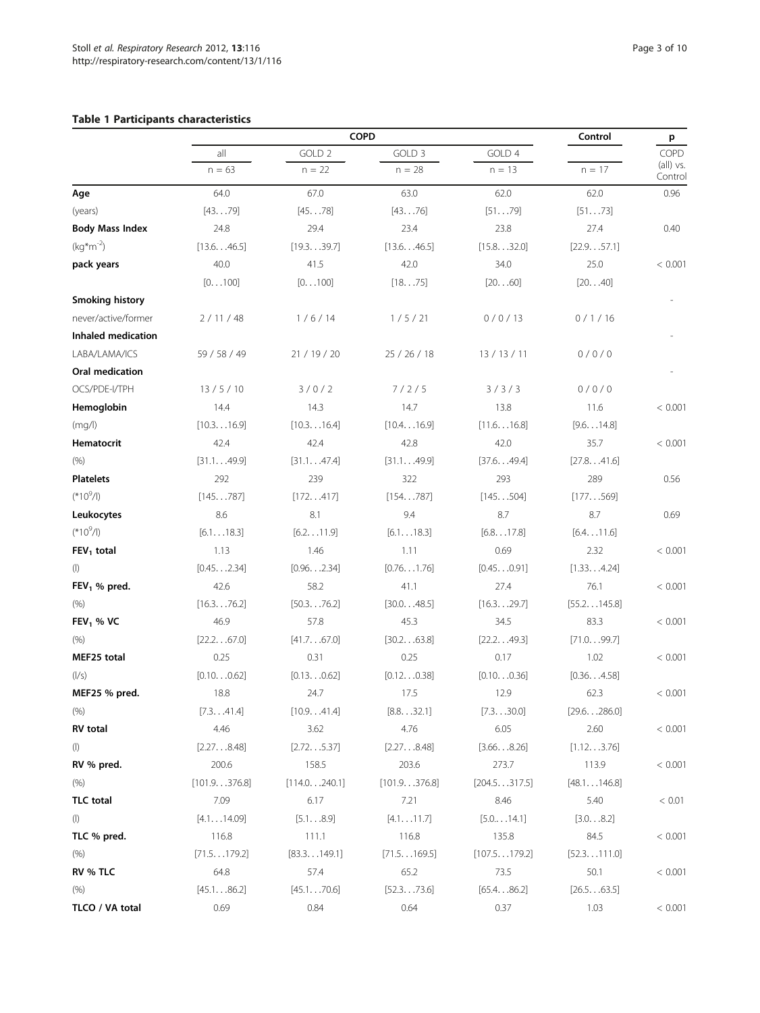## <span id="page-2-0"></span>Table 1 Participants characteristics

|                          | COPD            |                               |                     |                    | Control              | p                            |
|--------------------------|-----------------|-------------------------------|---------------------|--------------------|----------------------|------------------------------|
|                          | all<br>$n = 63$ | GOLD <sub>2</sub><br>$n = 22$ | GOLD 3<br>$n = 28$  | GOLD 4<br>$n = 13$ | $n = 17$             | COPD<br>(all) vs.<br>Control |
|                          |                 |                               |                     |                    |                      |                              |
| Age                      | 64.0            | 67.0                          | 63.0                | 62.0               | 62.0                 | 0.96                         |
| (years)                  | [4379]          | [4578]                        | [4376]              | [5179]             | [5173]               |                              |
| <b>Body Mass Index</b>   | 24.8            | 29.4                          | 23.4                | 23.8               | 27.4                 | 0.40                         |
| $(kg*m^{-2})$            | [13.646.5]      | [19.339.7]                    | [13.646.5]          | [15.832.0]         | [22.957.1]           |                              |
| pack years               | 40.0            | 41.5                          | 42.0                | 34.0               | 25.0                 | < 0.001                      |
|                          | [0100]          | [0100]                        | [1875]              | [2060]             | [2040]               |                              |
| <b>Smoking history</b>   |                 |                               |                     |                    |                      |                              |
| never/active/former      | 2/11/48         | 1/6/14                        | 1/5/21              | 0/0/13             | 0/1/16               |                              |
| Inhaled medication       |                 |                               |                     |                    |                      |                              |
| LABA/LAMA/ICS            | 59 / 58 / 49    | 21 / 19 / 20                  | 25 / 26 / 18        | 13 / 13 / 11       | 0/0/0                |                              |
| Oral medication          |                 |                               |                     |                    |                      |                              |
| OCS/PDE-I/TPH            | 13 / 5 / 10     | 3/0/2                         | 7/2/5               | 3/3/3              | 0/0/0                |                              |
| Hemoglobin               | 14.4            | 14.3                          | 14.7                | 13.8               | 11.6                 | < 0.001                      |
| (mq/l)                   | [10.316.9]      | [10.316.4]                    | [10.416.9]          | [11.616.8]         | [9.614.8]            |                              |
| Hematocrit               | 42.4            | 42.4                          | 42.8                | 42.0               | 35.7                 | < 0.001                      |
| (% )                     | [31.149.9]      | [31.147.4]                    | [31.149.9]          | [37.649.4]         | [27.841.6]           |                              |
| <b>Platelets</b>         | 292             | 239                           | 322                 | 293                | 289                  | 0.56                         |
| $(*10^9/1)$              | [145787]        | [172417]                      | [154787]            | [145504]           | [177569]             |                              |
| Leukocytes               | 8.6             | 8.1                           | 9.4                 | 8.7                | $8.7\,$              | 0.69                         |
| $(*10^9/1)$              | [6.118.3]       | [6.211.9]                     | [6.118.3]           | [6.817.8]          | [6.411.6]            |                              |
| $FEV1$ total             | 1.13            | 1.46                          | 1.11                | 0.69               | 2.32                 | < 0.001                      |
| $($ l $)$                | [0.452.34]      | [0.962.34]                    | [0.761.76]          | [0.450.91]         | [1.334.24]           |                              |
| FEV <sub>1</sub> % pred. | 42.6            | 58.2                          | 41.1                | 27.4               | 76.1                 | < 0.001                      |
| (% )                     | [16.376.2]      | [50.376.2]                    | [30.048.5]          | [16.329.7]         | [55.2145.8]          |                              |
| $FEV1$ % VC              | 46.9            | 57.8                          | 45.3                | 34.5               | 83.3                 | < 0.001                      |
| (% )                     | [22.267.0]      | [41.767.0]                    | [30.263.8]          | [22.249.3]         | [71.099.7]           |                              |
| MEF25 total              | 0.25            | 0.31                          | 0.25                | 0.17               | 1.02                 | < 0.001                      |
| ( /s)                    | [0.100.62]      | [0.130.62]                    | [0.120.38]          | [0.100.36]         | [0.364.58]           |                              |
| MEF25 % pred.            | 18.8            | 24.7                          | 17.5                | 12.9               | 62.3                 | < 0.001                      |
| (% )                     | [7.341.4]       | [10.941.4]                    | [8.832.1]           | [7.330.0]          | $[29.6 \dots 286.0]$ |                              |
| <b>RV</b> total          | 4.46            | 3.62                          | 4.76                | 6.05               | 2.60                 | < 0.001                      |
| $($ l $)$                | [2.278.48]      | [2.725.37]                    | [2.278.48]          | [3.668.26]         | [1.123.76]           |                              |
| RV % pred.               | 200.6           | 158.5                         | 203.6               | 273.7              | 113.9                | < 0.001                      |
| (% )                     | [101.9376.8]    | [114.0240.1]                  | [101.9376.8]        | [204.5317.5]       | [48.1146.8]          |                              |
| <b>TLC</b> total         | 7.09            | 6.17                          | 7.21                | 8.46               | 5.40                 | < 0.01                       |
| $($ l $)$                | [4.114.09]      | [5.18.9]                      | [4.111.7]           | [5.014.1]          | [3.08.2]             |                              |
| TLC % pred.              | 116.8           | 111.1                         | 116.8               | 135.8              | 84.5                 | < 0.001                      |
| (% )                     | [71.5179.2]     | [83.3149.1]                   | [71.5169.5]         | [107.5179.2]       | $[52.3 \dots 111.0]$ |                              |
| RV % TLC                 | 64.8            | 57.4                          | 65.2                | 73.5               | 50.1                 | < 0.001                      |
| (% )                     | [45.186.2]      | $[45.1 \dots 70.6]$           | $[52.3 \dots 73.6]$ | [65.486.2]         | [26.563.5]           |                              |
| TLCO / VA total          | 0.69            | 0.84                          | 0.64                | 0.37               | 1.03                 | < 0.001                      |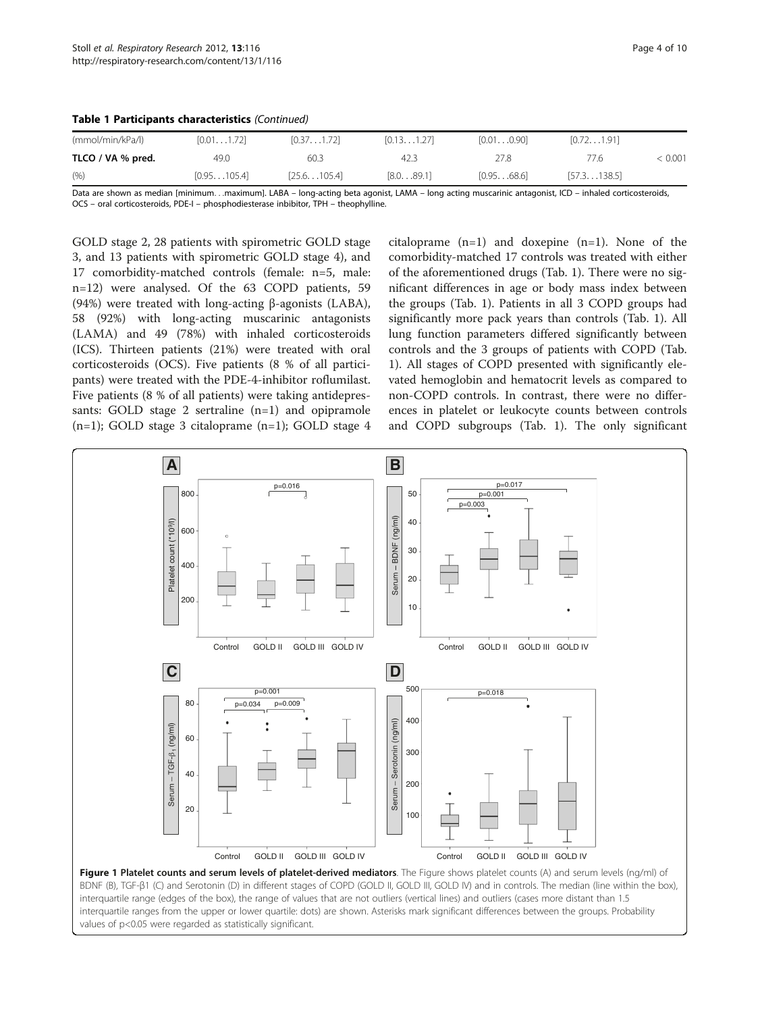<span id="page-3-0"></span>

|  |  |  | Table 1 Participants characteristics (Continued) |  |
|--|--|--|--------------------------------------------------|--|
|--|--|--|--------------------------------------------------|--|

| (mmol/min/kPa/l)  | [0.011.72]  | [0.37,1.72]          | [0.131.27] | [0.010.90] | [0.72,1.91]          |         |
|-------------------|-------------|----------------------|------------|------------|----------------------|---------|
| TLCO / VA % pred. | 49.0        | 60.3                 | 42.3       | 27.8       | 77.6                 | < 0.001 |
| (% )              | [0.95105.4] | $[25.6 \dots 105.4]$ | [8.089.1]  | [0.9568.6] | $[57.3 \dots 138.5]$ |         |

Data are shown as median [minimum...maximum]. LABA – long-acting beta agonist, LAMA – long acting muscarinic antagonist, ICD – inhaled corticosteroids, OCS – oral corticosteroids, PDE-I – phosphodiesterase inbibitor, TPH – theophylline.

GOLD stage 2, 28 patients with spirometric GOLD stage 3, and 13 patients with spirometric GOLD stage 4), and 17 comorbidity-matched controls (female: n=5, male: n=12) were analysed. Of the 63 COPD patients, 59 (94%) were treated with long-acting β-agonists (LABA), 58 (92%) with long-acting muscarinic antagonists (LAMA) and 49 (78%) with inhaled corticosteroids (ICS). Thirteen patients (21%) were treated with oral corticosteroids (OCS). Five patients (8 % of all participants) were treated with the PDE-4-inhibitor roflumilast. Five patients (8 % of all patients) were taking antidepressants: GOLD stage 2 sertraline (n=1) and opipramole  $(n=1)$ ; GOLD stage 3 citaloprame  $(n=1)$ ; GOLD stage 4 citaloprame (n=1) and doxepine (n=1). None of the comorbidity-matched 17 controls was treated with either of the aforementioned drugs (Tab. 1). There were no significant differences in age or body mass index between the groups (Tab. 1). Patients in all 3 COPD groups had significantly more pack years than controls (Tab. 1). All lung function parameters differed significantly between controls and the 3 groups of patients with COPD (Tab. 1). All stages of COPD presented with significantly elevated hemoglobin and hematocrit levels as compared to non-COPD controls. In contrast, there were no differences in platelet or leukocyte counts between controls and COPD subgroups (Tab. 1). The only significant



interquartile range (edges of the box), the range of values that are not outliers (vertical lines) and outliers (cases more distant than 1.5 interquartile ranges from the upper or lower quartile: dots) are shown. Asterisks mark significant differences between the groups. Probability values of p<0.05 were regarded as statistically significant.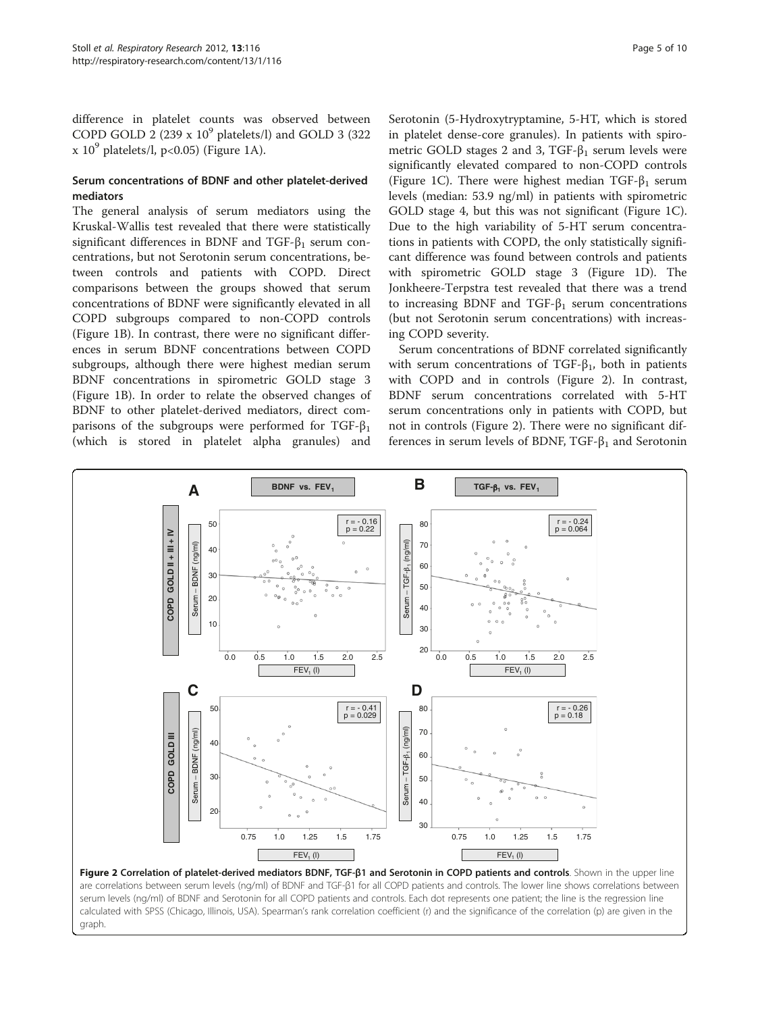difference in platelet counts was observed between COPD GOLD 2 (239 x  $10^9$  platelets/l) and GOLD 3 (322  $x 10<sup>9</sup>$  $x 10<sup>9</sup>$  $x 10<sup>9</sup>$  platelets/l, p<0.05) (Figure 1A).

#### Serum concentrations of BDNF and other platelet-derived mediators

The general analysis of serum mediators using the Kruskal-Wallis test revealed that there were statistically significant differences in BDNF and TGF- $\beta_1$  serum concentrations, but not Serotonin serum concentrations, between controls and patients with COPD. Direct comparisons between the groups showed that serum concentrations of BDNF were significantly elevated in all COPD subgroups compared to non-COPD controls (Figure [1B](#page-3-0)). In contrast, there were no significant differences in serum BDNF concentrations between COPD subgroups, although there were highest median serum BDNF concentrations in spirometric GOLD stage 3 (Figure [1B](#page-3-0)). In order to relate the observed changes of BDNF to other platelet-derived mediators, direct comparisons of the subgroups were performed for TGF- $\beta_1$ (which is stored in platelet alpha granules) and

Serotonin (5-Hydroxytryptamine, 5-HT, which is stored in platelet dense-core granules). In patients with spirometric GOLD stages 2 and 3, TGF- $\beta_1$  serum levels were significantly elevated compared to non-COPD controls (Figure [1C](#page-3-0)). There were highest median TGF- $\beta_1$  serum levels (median: 53.9 ng/ml) in patients with spirometric GOLD stage 4, but this was not significant (Figure [1C](#page-3-0)). Due to the high variability of 5-HT serum concentrations in patients with COPD, the only statistically significant difference was found between controls and patients with spirometric GOLD stage 3 (Figure [1](#page-3-0)D). The Jonkheere-Terpstra test revealed that there was a trend to increasing BDNF and  $TGF- $\beta_1$  serum concentrations$ (but not Serotonin serum concentrations) with increasing COPD severity.

Serum concentrations of BDNF correlated significantly with serum concentrations of TGF- $\beta_1$ , both in patients with COPD and in controls (Figure 2). In contrast, BDNF serum concentrations correlated with 5-HT serum concentrations only in patients with COPD, but not in controls (Figure 2). There were no significant differences in serum levels of BDNF,  $TGF-<sub>1</sub>$  and Serotonin



Figure 2 Correlation of platelet-derived mediators BDNF, TGF-β1 and Serotonin in COPD patients and controls. Shown in the upper line are correlations between serum levels (ng/ml) of BDNF and TGF-β1 for all COPD patients and controls. The lower line shows correlations between serum levels (ng/ml) of BDNF and Serotonin for all COPD patients and controls. Each dot represents one patient; the line is the regression line calculated with SPSS (Chicago, Illinois, USA). Spearman's rank correlation coefficient (r) and the significance of the correlation (p) are given in the graph.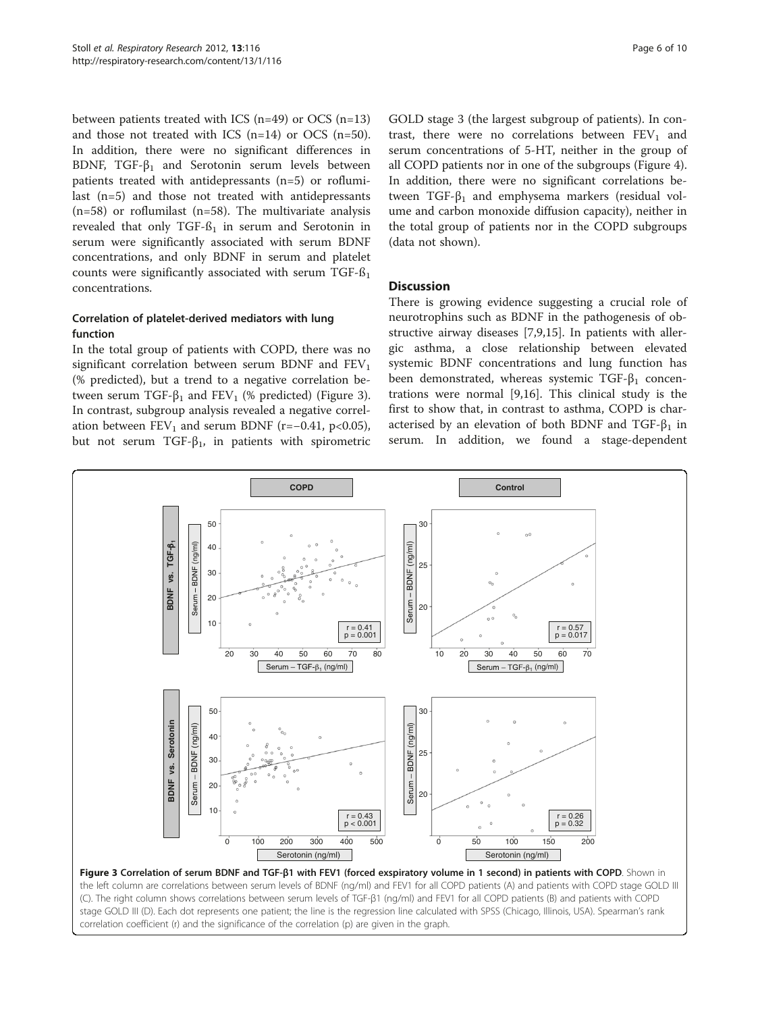between patients treated with ICS (n=49) or OCS (n=13) and those not treated with ICS  $(n=14)$  or OCS  $(n=50)$ . In addition, there were no significant differences in BDNF,  $TGF-\beta_1$  and Serotonin serum levels between patients treated with antidepressants (n=5) or roflumilast (n=5) and those not treated with antidepressants  $(n=58)$  or roflumilast  $(n=58)$ . The multivariate analysis revealed that only TGF- $6<sub>1</sub>$  in serum and Serotonin in serum were significantly associated with serum BDNF concentrations, and only BDNF in serum and platelet counts were significantly associated with serum  $TGF-<sub>1</sub>$ concentrations.

## Correlation of platelet-derived mediators with lung function

In the total group of patients with COPD, there was no significant correlation between serum BDNF and  $FEV<sub>1</sub>$ (% predicted), but a trend to a negative correlation between serum TGF- $\beta_1$  and FEV<sub>1</sub> (% predicted) (Figure 3). In contrast, subgroup analysis revealed a negative correlation between  $FEV_1$  and serum BDNF (r=−0.41, p<0.05), but not serum TGF- $β_1$ , in patients with spirometric GOLD stage 3 (the largest subgroup of patients). In contrast, there were no correlations between  $FEV<sub>1</sub>$  and serum concentrations of 5-HT, neither in the group of all COPD patients nor in one of the subgroups (Figure [4](#page-6-0)). In addition, there were no significant correlations between TGF- $β_1$  and emphysema markers (residual volume and carbon monoxide diffusion capacity), neither in the total group of patients nor in the COPD subgroups (data not shown).

#### **Discussion**

There is growing evidence suggesting a crucial role of neurotrophins such as BDNF in the pathogenesis of obstructive airway diseases [[7](#page-8-0),[9,](#page-8-0)[15](#page-9-0)]. In patients with allergic asthma, a close relationship between elevated systemic BDNF concentrations and lung function has been demonstrated, whereas systemic TGF- $\beta_1$  concentrations were normal [\[9,](#page-8-0)[16\]](#page-9-0). This clinical study is the first to show that, in contrast to asthma, COPD is characterised by an elevation of both BDNF and TGF- $\beta_1$  in serum. In addition, we found a stage-dependent



the left column are correlations between serum levels of BDNF (ng/ml) and FEV1 for all COPD patients (A) and patients with COPD stage GOLD III (C). The right column shows correlations between serum levels of TGF-β1 (ng/ml) and FEV1 for all COPD patients (B) and patients with COPD stage GOLD III (D). Each dot represents one patient; the line is the regression line calculated with SPSS (Chicago, Illinois, USA). Spearman's rank correlation coefficient (r) and the significance of the correlation (p) are given in the graph.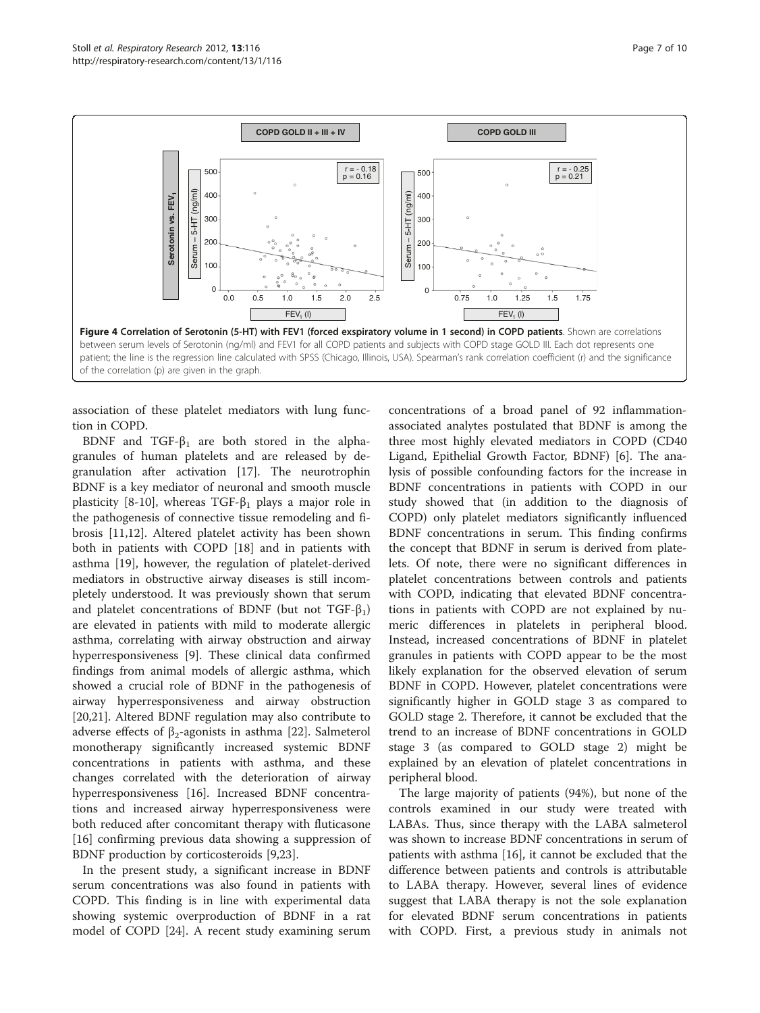<span id="page-6-0"></span>

association of these platelet mediators with lung function in COPD.

BDNF and TGF- $\beta_1$  are both stored in the alphagranules of human platelets and are released by degranulation after activation [[17\]](#page-9-0). The neurotrophin BDNF is a key mediator of neuronal and smooth muscle plasticity [\[8](#page-8-0)-[10\]](#page-8-0), whereas TGF- $\beta_1$  plays a major role in the pathogenesis of connective tissue remodeling and fibrosis [\[11](#page-8-0)[,12](#page-9-0)]. Altered platelet activity has been shown both in patients with COPD [\[18](#page-9-0)] and in patients with asthma [\[19](#page-9-0)], however, the regulation of platelet-derived mediators in obstructive airway diseases is still incompletely understood. It was previously shown that serum and platelet concentrations of BDNF (but not TGF- $\beta_1$ ) are elevated in patients with mild to moderate allergic asthma, correlating with airway obstruction and airway hyperresponsiveness [\[9\]](#page-8-0). These clinical data confirmed findings from animal models of allergic asthma, which showed a crucial role of BDNF in the pathogenesis of airway hyperresponsiveness and airway obstruction [[20,21\]](#page-9-0). Altered BDNF regulation may also contribute to adverse effects of  $β_2$ -agonists in asthma [\[22](#page-9-0)]. Salmeterol monotherapy significantly increased systemic BDNF concentrations in patients with asthma, and these changes correlated with the deterioration of airway hyperresponsiveness [\[16\]](#page-9-0). Increased BDNF concentrations and increased airway hyperresponsiveness were both reduced after concomitant therapy with fluticasone [[16\]](#page-9-0) confirming previous data showing a suppression of BDNF production by corticosteroids [\[9,](#page-8-0)[23\]](#page-9-0).

In the present study, a significant increase in BDNF serum concentrations was also found in patients with COPD. This finding is in line with experimental data showing systemic overproduction of BDNF in a rat model of COPD [[24](#page-9-0)]. A recent study examining serum

concentrations of a broad panel of 92 inflammationassociated analytes postulated that BDNF is among the three most highly elevated mediators in COPD (CD40 Ligand, Epithelial Growth Factor, BDNF) [[6](#page-8-0)]. The analysis of possible confounding factors for the increase in BDNF concentrations in patients with COPD in our study showed that (in addition to the diagnosis of COPD) only platelet mediators significantly influenced BDNF concentrations in serum. This finding confirms the concept that BDNF in serum is derived from platelets. Of note, there were no significant differences in platelet concentrations between controls and patients with COPD, indicating that elevated BDNF concentrations in patients with COPD are not explained by numeric differences in platelets in peripheral blood. Instead, increased concentrations of BDNF in platelet granules in patients with COPD appear to be the most likely explanation for the observed elevation of serum BDNF in COPD. However, platelet concentrations were significantly higher in GOLD stage 3 as compared to GOLD stage 2. Therefore, it cannot be excluded that the trend to an increase of BDNF concentrations in GOLD stage 3 (as compared to GOLD stage 2) might be explained by an elevation of platelet concentrations in peripheral blood.

The large majority of patients (94%), but none of the controls examined in our study were treated with LABAs. Thus, since therapy with the LABA salmeterol was shown to increase BDNF concentrations in serum of patients with asthma [[16](#page-9-0)], it cannot be excluded that the difference between patients and controls is attributable to LABA therapy. However, several lines of evidence suggest that LABA therapy is not the sole explanation for elevated BDNF serum concentrations in patients with COPD. First, a previous study in animals not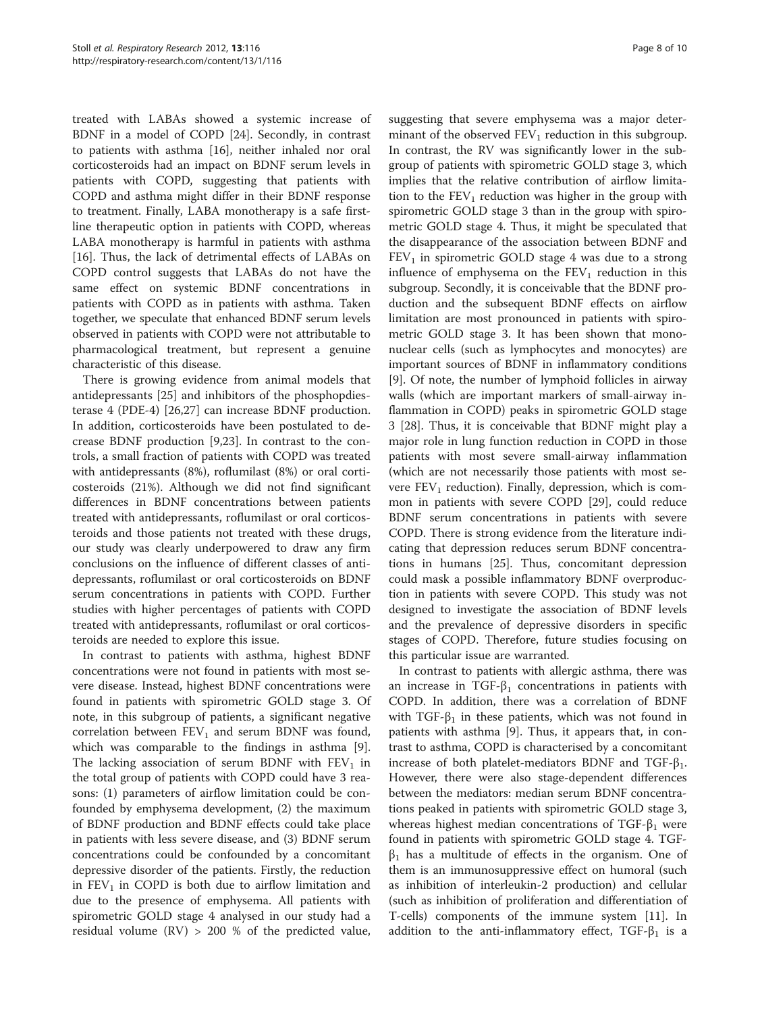treated with LABAs showed a systemic increase of BDNF in a model of COPD [\[24\]](#page-9-0). Secondly, in contrast to patients with asthma [\[16\]](#page-9-0), neither inhaled nor oral corticosteroids had an impact on BDNF serum levels in patients with COPD, suggesting that patients with COPD and asthma might differ in their BDNF response to treatment. Finally, LABA monotherapy is a safe firstline therapeutic option in patients with COPD, whereas LABA monotherapy is harmful in patients with asthma [[16\]](#page-9-0). Thus, the lack of detrimental effects of LABAs on COPD control suggests that LABAs do not have the same effect on systemic BDNF concentrations in patients with COPD as in patients with asthma. Taken together, we speculate that enhanced BDNF serum levels observed in patients with COPD were not attributable to pharmacological treatment, but represent a genuine characteristic of this disease.

There is growing evidence from animal models that antidepressants [\[25\]](#page-9-0) and inhibitors of the phosphopdiesterase 4 (PDE-4) [[26,27\]](#page-9-0) can increase BDNF production. In addition, corticosteroids have been postulated to decrease BDNF production [\[9](#page-8-0)[,23](#page-9-0)]. In contrast to the controls, a small fraction of patients with COPD was treated with antidepressants (8%), roflumilast (8%) or oral corticosteroids (21%). Although we did not find significant differences in BDNF concentrations between patients treated with antidepressants, roflumilast or oral corticosteroids and those patients not treated with these drugs, our study was clearly underpowered to draw any firm conclusions on the influence of different classes of antidepressants, roflumilast or oral corticosteroids on BDNF serum concentrations in patients with COPD. Further studies with higher percentages of patients with COPD treated with antidepressants, roflumilast or oral corticosteroids are needed to explore this issue.

In contrast to patients with asthma, highest BDNF concentrations were not found in patients with most severe disease. Instead, highest BDNF concentrations were found in patients with spirometric GOLD stage 3. Of note, in this subgroup of patients, a significant negative correlation between  $\rm{FEV_1}$  and serum BDNF was found, which was comparable to the findings in asthma [\[9](#page-8-0)]. The lacking association of serum BDNF with  $FEV<sub>1</sub>$  in the total group of patients with COPD could have 3 reasons: (1) parameters of airflow limitation could be confounded by emphysema development, (2) the maximum of BDNF production and BDNF effects could take place in patients with less severe disease, and (3) BDNF serum concentrations could be confounded by a concomitant depressive disorder of the patients. Firstly, the reduction in  $FEV<sub>1</sub>$  in COPD is both due to airflow limitation and due to the presence of emphysema. All patients with spirometric GOLD stage 4 analysed in our study had a residual volume (RV) > 200 % of the predicted value,

suggesting that severe emphysema was a major determinant of the observed  $FEV<sub>1</sub>$  reduction in this subgroup. In contrast, the RV was significantly lower in the subgroup of patients with spirometric GOLD stage 3, which implies that the relative contribution of airflow limitation to the  $FEV<sub>1</sub>$  reduction was higher in the group with spirometric GOLD stage 3 than in the group with spirometric GOLD stage 4. Thus, it might be speculated that the disappearance of the association between BDNF and  $FEV<sub>1</sub>$  in spirometric GOLD stage 4 was due to a strong influence of emphysema on the  $FEV<sub>1</sub>$  reduction in this subgroup. Secondly, it is conceivable that the BDNF production and the subsequent BDNF effects on airflow limitation are most pronounced in patients with spirometric GOLD stage 3. It has been shown that mononuclear cells (such as lymphocytes and monocytes) are important sources of BDNF in inflammatory conditions [[9\]](#page-8-0). Of note, the number of lymphoid follicles in airway walls (which are important markers of small-airway inflammation in COPD) peaks in spirometric GOLD stage 3 [[28\]](#page-9-0). Thus, it is conceivable that BDNF might play a major role in lung function reduction in COPD in those patients with most severe small-airway inflammation (which are not necessarily those patients with most severe  $FEV<sub>1</sub>$  reduction). Finally, depression, which is common in patients with severe COPD [\[29](#page-9-0)], could reduce BDNF serum concentrations in patients with severe COPD. There is strong evidence from the literature indicating that depression reduces serum BDNF concentrations in humans [[25\]](#page-9-0). Thus, concomitant depression could mask a possible inflammatory BDNF overproduction in patients with severe COPD. This study was not designed to investigate the association of BDNF levels and the prevalence of depressive disorders in specific stages of COPD. Therefore, future studies focusing on this particular issue are warranted.

In contrast to patients with allergic asthma, there was an increase in TGF- $\beta_1$  concentrations in patients with COPD. In addition, there was a correlation of BDNF with TGF- $\beta_1$  in these patients, which was not found in patients with asthma [\[9](#page-8-0)]. Thus, it appears that, in contrast to asthma, COPD is characterised by a concomitant increase of both platelet-mediators BDNF and TGF- $β_1$ . However, there were also stage-dependent differences between the mediators: median serum BDNF concentrations peaked in patients with spirometric GOLD stage 3, whereas highest median concentrations of TGF- $\beta_1$  were found in patients with spirometric GOLD stage 4. TGF- $\beta_1$  has a multitude of effects in the organism. One of them is an immunosuppressive effect on humoral (such as inhibition of interleukin-2 production) and cellular (such as inhibition of proliferation and differentiation of T-cells) components of the immune system [[11](#page-8-0)]. In addition to the anti-inflammatory effect, TGF- $\beta_1$  is a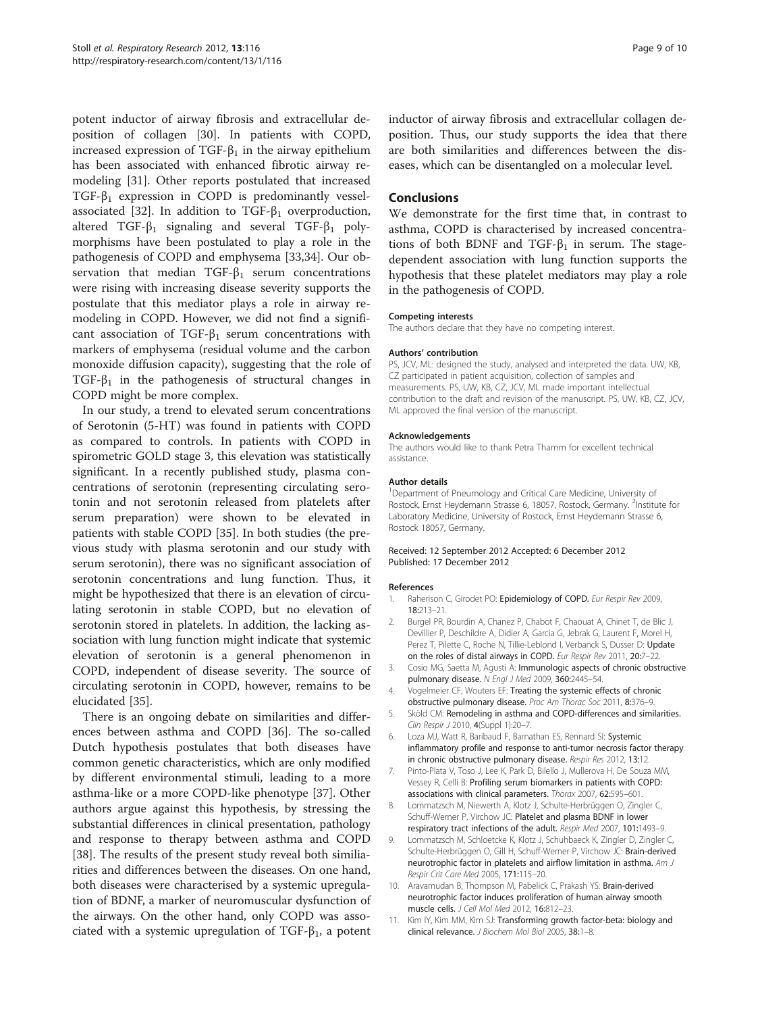<span id="page-8-0"></span>potent inductor of airway fibrosis and extracellular deposition of collagen [\[30](#page-9-0)]. In patients with COPD, increased expression of TGF- $\beta_1$  in the airway epithelium has been associated with enhanced fibrotic airway remodeling [[31](#page-9-0)]. Other reports postulated that increased TGF- $\beta_1$  expression in COPD is predominantly vessel-associated [[32\]](#page-9-0). In addition to TGF- $β_1$  overproduction, altered TGF- $β_1$  signaling and several TGF- $β_1$  polymorphisms have been postulated to play a role in the pathogenesis of COPD and emphysema [\[33](#page-9-0),[34](#page-9-0)]. Our observation that median TGF- $\beta_1$  serum concentrations were rising with increasing disease severity supports the postulate that this mediator plays a role in airway remodeling in COPD. However, we did not find a significant association of TGF- $\beta_1$  serum concentrations with markers of emphysema (residual volume and the carbon monoxide diffusion capacity), suggesting that the role of TGF- $\beta_1$  in the pathogenesis of structural changes in COPD might be more complex.

In our study, a trend to elevated serum concentrations of Serotonin (5-HT) was found in patients with COPD as compared to controls. In patients with COPD in spirometric GOLD stage 3, this elevation was statistically significant. In a recently published study, plasma concentrations of serotonin (representing circulating serotonin and not serotonin released from platelets after serum preparation) were shown to be elevated in patients with stable COPD [\[35\]](#page-9-0). In both studies (the previous study with plasma serotonin and our study with serum serotonin), there was no significant association of serotonin concentrations and lung function. Thus, it might be hypothesized that there is an elevation of circulating serotonin in stable COPD, but no elevation of serotonin stored in platelets. In addition, the lacking association with lung function might indicate that systemic elevation of serotonin is a general phenomenon in COPD, independent of disease severity. The source of circulating serotonin in COPD, however, remains to be elucidated [\[35](#page-9-0)].

There is an ongoing debate on similarities and differences between asthma and COPD [[36\]](#page-9-0). The so-called Dutch hypothesis postulates that both diseases have common genetic characteristics, which are only modified by different environmental stimuli, leading to a more asthma-like or a more COPD-like phenotype [\[37\]](#page-9-0). Other authors argue against this hypothesis, by stressing the substantial differences in clinical presentation, pathology and response to therapy between asthma and COPD [[38\]](#page-9-0). The results of the present study reveal both similiarities and differences between the diseases. On one hand, both diseases were characterised by a systemic upregulation of BDNF, a marker of neuromuscular dysfunction of the airways. On the other hand, only COPD was associated with a systemic upregulation of TGF- $\beta_1$ , a potent inductor of airway fibrosis and extracellular collagen deposition. Thus, our study supports the idea that there are both similarities and differences between the diseases, which can be disentangled on a molecular level.

#### Conclusions

We demonstrate for the first time that, in contrast to asthma, COPD is characterised by increased concentrations of both BDNF and TGF- $β$ <sub>1</sub> in serum. The stagedependent association with lung function supports the hypothesis that these platelet mediators may play a role in the pathogenesis of COPD.

#### Competing interests

The authors declare that they have no competing interest.

#### Authors' contribution

PS, JCV, ML: designed the study, analysed and interpreted the data. UW, KB, CZ participated in patient acquisition, collection of samples and measurements. PS, UW, KB, CZ, JCV, ML made important intellectual contribution to the draft and revision of the manuscript. PS, UW, KB, CZ, JCV, ML approved the final version of the manuscript.

#### Acknowledgements

The authors would like to thank Petra Thamm for excellent technical assistance.

#### Author details

<sup>1</sup>Department of Pneumology and Critical Care Medicine, University of Rostock, Ernst Heydemann Strasse 6, 18057, Rostock, Germany. <sup>2</sup>Institute for Laboratory Medicine, University of Rostock, Ernst Heydemann Strasse 6, Rostock 18057, Germany.

#### Received: 12 September 2012 Accepted: 6 December 2012 Published: 17 December 2012

#### References

- 1. Raherison C, Girodet PO: Epidemiology of COPD. Eur Respir Rev 2009, 18:213–21.
- 2. Burgel PR, Bourdin A, Chanez P, Chabot F, Chaouat A, Chinet T, de Blic J, Devillier P, Deschildre A, Didier A, Garcia G, Jebrak G, Laurent F, Morel H, Perez T, Pilette C, Roche N, Tillie-Leblond I, Verbanck S, Dusser D: Update on the roles of distal airways in COPD. Eur Respir Rev 2011, 20:7–22.
- 3. Cosio MG, Saetta M, Agusti A: Immunologic aspects of chronic obstructive pulmonary disease. N Engl J Med 2009, 360:2445–54.
- 4. Vogelmeier CF, Wouters EF: Treating the systemic effects of chronic obstructive pulmonary disease. Proc Am Thorac Soc 2011, 8:376–9.
- 5. Sköld CM: Remodeling in asthma and COPD-differences and similarities. Clin Respir J 2010, 4(Suppl 1):20-7
- 6. Loza MJ, Watt R, Baribaud F, Barnathan ES, Rennard SI: Systemic inflammatory profile and response to anti-tumor necrosis factor therapy in chronic obstructive pulmonary disease. Respir Res 2012, 13:12.
- 7. Pinto-Plata V, Toso J, Lee K, Park D, Bilello J, Mullerova H, De Souza MM, Vessey R, Celli B: Profiling serum biomarkers in patients with COPD: associations with clinical parameters. Thorax 2007, 62:595–601.
- 8. Lommatzsch M, Niewerth A, Klotz J, Schulte-Herbrüggen O, Zingler C, Schuff-Werner P, Virchow JC: Platelet and plasma BDNF in lower respiratory tract infections of the adult. Respir Med 2007, 101:1493–9.
- 9. Lommatzsch M, Schloetcke K, Klotz J, Schuhbaeck K, Zingler D, Zingler C, Schulte-Herbrüggen O, Gill H, Schuff-Werner P, Virchow JC: Brain-derived neurotrophic factor in platelets and airflow limitation in asthma. Am J Respir Crit Care Med 2005, 171:115–20.
- 10. Aravamudan B, Thompson M, Pabelick C, Prakash YS: Brain-derived neurotrophic factor induces proliferation of human airway smooth muscle cells. J Cell Mol Med 2012, 16:812–23.
- 11. Kim IY, Kim MM, Kim SJ: Transforming growth factor-beta: biology and clinical relevance. J Biochem Mol Biol 2005, 38:1–8.